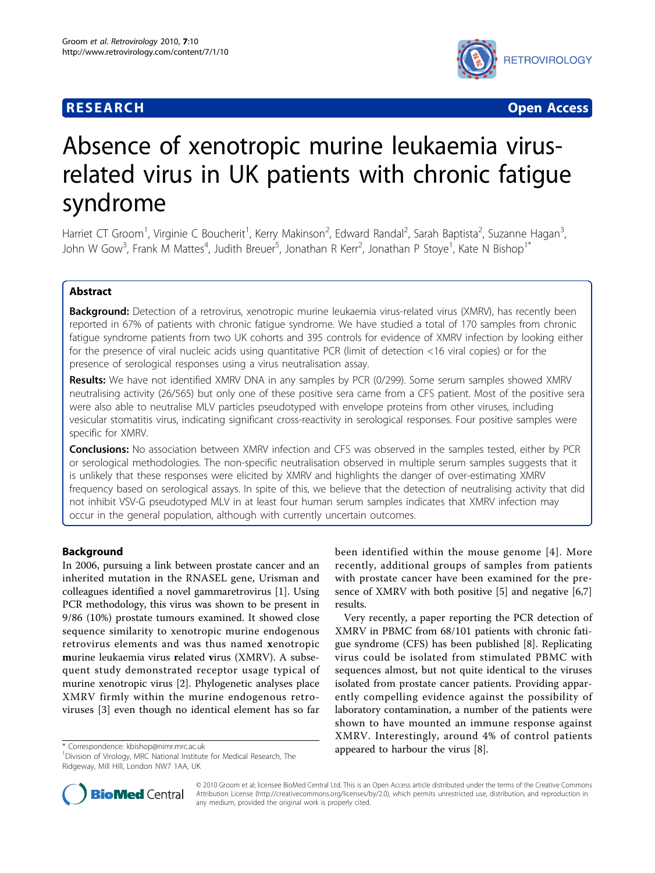# **RESEARCH CONSTRUCTION CONTROL**



# Absence of xenotropic murine leukaemia virusrelated virus in UK patients with chronic fatigue syndrome

Harriet CT Groom<sup>1</sup>, Virginie C Boucherit<sup>1</sup>, Kerry Makinson<sup>2</sup>, Edward Randal<sup>2</sup>, Sarah Baptista<sup>2</sup>, Suzanne Hagan<sup>3</sup> , John W Gow<sup>3</sup>, Frank M Mattes<sup>4</sup>, Judith Breuer<sup>5</sup>, Jonathan R Kerr<sup>2</sup>, Jonathan P Stoye<sup>1</sup>, Kate N Bishop<sup>1\*</sup>

# Abstract

Background: Detection of a retrovirus, xenotropic murine leukaemia virus-related virus (XMRV), has recently been reported in 67% of patients with chronic fatigue syndrome. We have studied a total of 170 samples from chronic fatigue syndrome patients from two UK cohorts and 395 controls for evidence of XMRV infection by looking either for the presence of viral nucleic acids using quantitative PCR (limit of detection <16 viral copies) or for the presence of serological responses using a virus neutralisation assay.

Results: We have not identified XMRV DNA in any samples by PCR (0/299). Some serum samples showed XMRV neutralising activity (26/565) but only one of these positive sera came from a CFS patient. Most of the positive sera were also able to neutralise MLV particles pseudotyped with envelope proteins from other viruses, including vesicular stomatitis virus, indicating significant cross-reactivity in serological responses. Four positive samples were specific for XMRV.

Conclusions: No association between XMRV infection and CFS was observed in the samples tested, either by PCR or serological methodologies. The non-specific neutralisation observed in multiple serum samples suggests that it is unlikely that these responses were elicited by XMRV and highlights the danger of over-estimating XMRV frequency based on serological assays. In spite of this, we believe that the detection of neutralising activity that did not inhibit VSV-G pseudotyped MLV in at least four human serum samples indicates that XMRV infection may occur in the general population, although with currently uncertain outcomes.

# Background

In 2006, pursuing a link between prostate cancer and an inherited mutation in the RNASEL gene, Urisman and colleagues identified a novel gammaretrovirus [\[1](#page-9-0)]. Using PCR methodology, this virus was shown to be present in 9/86 (10%) prostate tumours examined. It showed close sequence similarity to xenotropic murine endogenous retrovirus elements and was thus named xenotropic murine leukaemia virus related virus (XMRV). A subsequent study demonstrated receptor usage typical of murine xenotropic virus [[2\]](#page-9-0). Phylogenetic analyses place XMRV firmly within the murine endogenous retroviruses [\[3](#page-9-0)] even though no identical element has so far

<sup>1</sup> Division of Virology, MRC National Institute for Medical Research, The Ridgeway, Mill Hill, London NW7 1AA, UK

been identified within the mouse genome [[4](#page-9-0)]. More recently, additional groups of samples from patients with prostate cancer have been examined for the presence of XMRV with both positive [\[5\]](#page-9-0) and negative [[6](#page-9-0),[7](#page-9-0)] results.

Very recently, a paper reporting the PCR detection of XMRV in PBMC from 68/101 patients with chronic fatigue syndrome (CFS) has been published [\[8\]](#page-9-0). Replicating virus could be isolated from stimulated PBMC with sequences almost, but not quite identical to the viruses isolated from prostate cancer patients. Providing apparently compelling evidence against the possibility of laboratory contamination, a number of the patients were shown to have mounted an immune response against XMRV. Interestingly, around 4% of control patients \* Correspondence: [kbishop@nimr.mrc.ac.uk](mailto:kbishop@nimr.mrc.ac.uk) **appeared to harbour the virus [\[8\]](#page-9-0). appeared to harbour the virus [8]**.



© 2010 Groom et al; licensee BioMed Central Ltd. This is an Open Access article distributed under the terms of the Creative Commons Attribution License [\(http://creativecommons.org/licenses/by/2.0](http://creativecommons.org/licenses/by/2.0)), which permits unrestricted use, distribution, and reproduction in any medium, provided the original work is properly cited.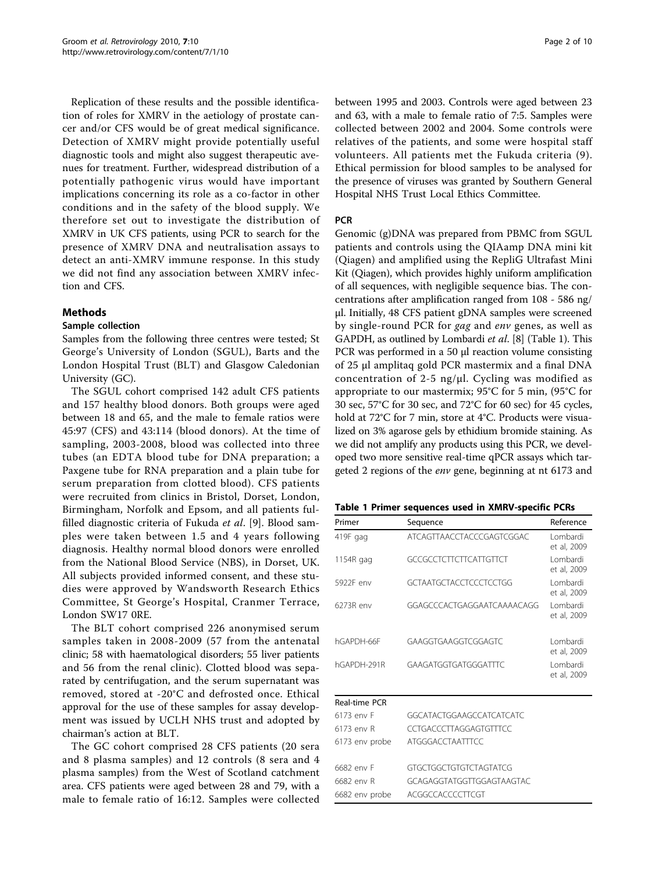<span id="page-1-0"></span>Replication of these results and the possible identification of roles for XMRV in the aetiology of prostate cancer and/or CFS would be of great medical significance. Detection of XMRV might provide potentially useful diagnostic tools and might also suggest therapeutic avenues for treatment. Further, widespread distribution of a potentially pathogenic virus would have important implications concerning its role as a co-factor in other conditions and in the safety of the blood supply. We therefore set out to investigate the distribution of XMRV in UK CFS patients, using PCR to search for the presence of XMRV DNA and neutralisation assays to detect an anti-XMRV immune response. In this study we did not find any association between XMRV infection and CFS.

# Methods

# Sample collection

Samples from the following three centres were tested; St George's University of London (SGUL), Barts and the London Hospital Trust (BLT) and Glasgow Caledonian University (GC).

The SGUL cohort comprised 142 adult CFS patients and 157 healthy blood donors. Both groups were aged between 18 and 65, and the male to female ratios were 45:97 (CFS) and 43:114 (blood donors). At the time of sampling, 2003-2008, blood was collected into three tubes (an EDTA blood tube for DNA preparation; a Paxgene tube for RNA preparation and a plain tube for serum preparation from clotted blood). CFS patients were recruited from clinics in Bristol, Dorset, London, Birmingham, Norfolk and Epsom, and all patients fulfilled diagnostic criteria of Fukuda et al. [[9\]](#page-9-0). Blood samples were taken between 1.5 and 4 years following diagnosis. Healthy normal blood donors were enrolled from the National Blood Service (NBS), in Dorset, UK. All subjects provided informed consent, and these studies were approved by Wandsworth Research Ethics Committee, St George's Hospital, Cranmer Terrace, London SW17 0RE.

The BLT cohort comprised 226 anonymised serum samples taken in 2008-2009 (57 from the antenatal clinic; 58 with haematological disorders; 55 liver patients and 56 from the renal clinic). Clotted blood was separated by centrifugation, and the serum supernatant was removed, stored at -20°C and defrosted once. Ethical approval for the use of these samples for assay development was issued by UCLH NHS trust and adopted by chairman's action at BLT.

The GC cohort comprised 28 CFS patients (20 sera and 8 plasma samples) and 12 controls (8 sera and 4 plasma samples) from the West of Scotland catchment area. CFS patients were aged between 28 and 79, with a male to female ratio of 16:12. Samples were collected between 1995 and 2003. Controls were aged between 23 and 63, with a male to female ratio of 7:5. Samples were collected between 2002 and 2004. Some controls were relatives of the patients, and some were hospital staff volunteers. All patients met the Fukuda criteria (9). Ethical permission for blood samples to be analysed for the presence of viruses was granted by Southern General Hospital NHS Trust Local Ethics Committee.

# **PCR**

Genomic (g)DNA was prepared from PBMC from SGUL patients and controls using the QIAamp DNA mini kit (Qiagen) and amplified using the RepliG Ultrafast Mini Kit (Qiagen), which provides highly uniform amplification of all sequences, with negligible sequence bias. The concentrations after amplification ranged from 108 - 586 ng/ μl. Initially, 48 CFS patient gDNA samples were screened by single-round PCR for gag and env genes, as well as GAPDH, as outlined by Lombardi et al. [\[8\]](#page-9-0) (Table 1). This PCR was performed in a 50 μl reaction volume consisting of 25 μl amplitaq gold PCR mastermix and a final DNA concentration of 2-5 ng/μl. Cycling was modified as appropriate to our mastermix; 95°C for 5 min, (95°C for 30 sec, 57°C for 30 sec, and 72°C for 60 sec) for 45 cycles, hold at 72°C for 7 min, store at 4°C. Products were visualized on 3% agarose gels by ethidium bromide staining. As we did not amplify any products using this PCR, we developed two more sensitive real-time qPCR assays which targeted 2 regions of the env gene, beginning at nt 6173 and

|  |  |  |  |  |  | Table 1 Primer sequences used in XMRV-specific PCRs |
|--|--|--|--|--|--|-----------------------------------------------------|
|--|--|--|--|--|--|-----------------------------------------------------|

| Primer         | Sequence                      | Reference                |
|----------------|-------------------------------|--------------------------|
| 419F gag       | ATCAGTTAACCTACCCGAGTCGGAC     | I ombardi<br>et al, 2009 |
| 1154R gag      | <b>GCCGCCTCTTCTTCATTGTTCT</b> | I ombardi<br>et al, 2009 |
| 5922F env      | GCTAATGCTACCTCCCTCCTGG        | I ombardi<br>et al, 2009 |
| 6273R env      | GGAGCCCACTGAGGAATCAAAACAGG    | I ombardi<br>et al, 2009 |
| hGAPDH-66F     | GAAGGTGAAGGTCGGAGTC           | I ombardi<br>et al, 2009 |
| hGAPDH-291R    | GAAGATGGTGATGGGATTTC          | Lombardi<br>et al, 2009  |
| Real-time PCR  |                               |                          |
| 6173 env F     | GGCATACTGGAAGCCATCATCATC      |                          |
| 6173 env R     | CCTGACCCTTAGGAGTGTTTCC        |                          |
| 6173 env probe | <b>ATGGGACCTAATTTCC</b>       |                          |
| 6682 env F     | GTGCTGGCTGTGTCTAGTATCG        |                          |
| 6682 env R     | GCAGAGGTATGGTTGGAGTAAGTAC     |                          |

6682 env probe ACGGCCACCCCTTCGT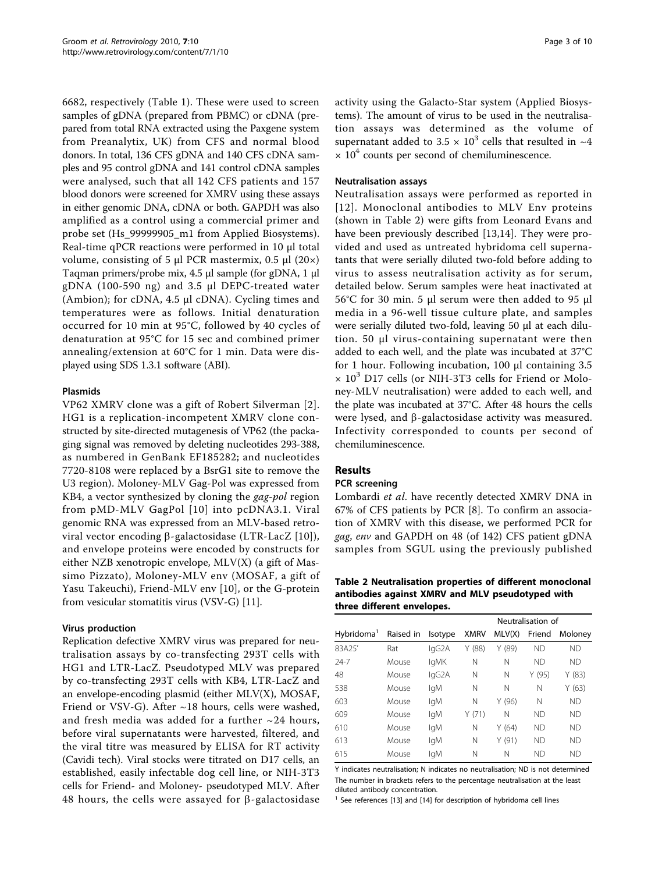<span id="page-2-0"></span>6682, respectively (Table [1\)](#page-1-0). These were used to screen samples of gDNA (prepared from PBMC) or cDNA (prepared from total RNA extracted using the Paxgene system from Preanalytix, UK) from CFS and normal blood donors. In total, 136 CFS gDNA and 140 CFS cDNA samples and 95 control gDNA and 141 control cDNA samples were analysed, such that all 142 CFS patients and 157 blood donors were screened for XMRV using these assays in either genomic DNA, cDNA or both. GAPDH was also amplified as a control using a commercial primer and probe set (Hs\_99999905\_m1 from Applied Biosystems). Real-time qPCR reactions were performed in 10 μl total volume, consisting of 5 μl PCR mastermix, 0.5 μl  $(20×)$ Taqman primers/probe mix, 4.5 μl sample (for gDNA, 1 μl gDNA (100-590 ng) and 3.5 μl DEPC-treated water (Ambion); for cDNA, 4.5 μl cDNA). Cycling times and temperatures were as follows. Initial denaturation occurred for 10 min at 95°C, followed by 40 cycles of denaturation at 95°C for 15 sec and combined primer annealing/extension at 60°C for 1 min. Data were displayed using SDS 1.3.1 software (ABI).

# Plasmids

VP62 XMRV clone was a gift of Robert Silverman [[2\]](#page-9-0). HG1 is a replication-incompetent XMRV clone constructed by site-directed mutagenesis of VP62 (the packaging signal was removed by deleting nucleotides 293-388, as numbered in GenBank EF185282; and nucleotides 7720-8108 were replaced by a BsrG1 site to remove the U3 region). Moloney-MLV Gag-Pol was expressed from KB4, a vector synthesized by cloning the *gag-pol* region from pMD-MLV GagPol [[10](#page-9-0)] into pcDNA3.1. Viral genomic RNA was expressed from an MLV-based retroviral vector encoding  $\beta$ -galactosidase (LTR-LacZ [\[10\]](#page-9-0)), and envelope proteins were encoded by constructs for either NZB xenotropic envelope, MLV(X) (a gift of Massimo Pizzato), Moloney-MLV env (MOSAF, a gift of Yasu Takeuchi), Friend-MLV env [[10\]](#page-9-0), or the G-protein from vesicular stomatitis virus (VSV-G) [\[11](#page-9-0)].

# Virus production

Replication defective XMRV virus was prepared for neutralisation assays by co-transfecting 293T cells with HG1 and LTR-LacZ. Pseudotyped MLV was prepared by co-transfecting 293T cells with KB4, LTR-LacZ and an envelope-encoding plasmid (either MLV(X), MOSAF, Friend or VSV-G). After  $\sim$ 18 hours, cells were washed, and fresh media was added for a further  $\sim$ 24 hours, before viral supernatants were harvested, filtered, and the viral titre was measured by ELISA for RT activity (Cavidi tech). Viral stocks were titrated on D17 cells, an established, easily infectable dog cell line, or NIH-3T3 cells for Friend- and Moloney- pseudotyped MLV. After 48 hours, the cells were assayed for  $\beta$ -galactosidase activity using the Galacto-Star system (Applied Biosystems). The amount of virus to be used in the neutralisation assays was determined as the volume of supernatant added to 3.5  $\times$  10<sup>3</sup> cells that resulted in  $\sim$ 4  $\times$  10<sup>4</sup> counts per second of chemiluminescence.

### Neutralisation assays

Neutralisation assays were performed as reported in [[12](#page-9-0)]. Monoclonal antibodies to MLV Env proteins (shown in Table 2) were gifts from Leonard Evans and have been previously described [\[13,14](#page-9-0)]. They were provided and used as untreated hybridoma cell supernatants that were serially diluted two-fold before adding to virus to assess neutralisation activity as for serum, detailed below. Serum samples were heat inactivated at 56°C for 30 min. 5 μl serum were then added to 95 μl media in a 96-well tissue culture plate, and samples were serially diluted two-fold, leaving 50 μl at each dilution. 50 μl virus-containing supernatant were then added to each well, and the plate was incubated at 37°C for 1 hour. Following incubation, 100 μl containing 3.5  $\times$  10<sup>3</sup> D17 cells (or NIH-3T3 cells for Friend or Moloney-MLV neutralisation) were added to each well, and the plate was incubated at 37°C. After 48 hours the cells were lysed, and  $\beta$ -galactosidase activity was measured. Infectivity corresponded to counts per second of chemiluminescence.

# Results

#### PCR screening

Lombardi et al. have recently detected XMRV DNA in 67% of CFS patients by PCR [\[8](#page-9-0)]. To confirm an association of XMRV with this disease, we performed PCR for gag, env and GAPDH on 48 (of 142) CFS patient gDNA samples from SGUL using the previously published

Table 2 Neutralisation properties of different monoclonal antibodies against XMRV and MLV pseudotyped with three different envelopes.

|                        |           |         | Neutralisation of |        |           |           |  |
|------------------------|-----------|---------|-------------------|--------|-----------|-----------|--|
| Hybridoma <sup>1</sup> | Raised in | Isotype | <b>XMRV</b>       | MLV(X) | Friend    | Moloney   |  |
| 83A25'                 | Rat       | lgG2A   | Y(88)             | Y (89) | <b>ND</b> | <b>ND</b> |  |
| $74 - 7$               | Mouse     | lgMK    | N                 | Ν      | <b>ND</b> | <b>ND</b> |  |
| 48                     | Mouse     | lgG2A   | N                 | Ν      | Y (95)    | Y(83)     |  |
| 538                    | Mouse     | lgM     | N                 | Ν      | N         | Y(63)     |  |
| 603                    | Mouse     | lgM     | N                 | Y(96)  | N         | <b>ND</b> |  |
| 609                    | Mouse     | lgM     | Y(71)             | N      | <b>ND</b> | <b>ND</b> |  |
| 610                    | Mouse     | lgM     | N                 | Y(64)  | <b>ND</b> | <b>ND</b> |  |
| 613                    | Mouse     | lgM     | N                 | Y(91)  | <b>ND</b> | <b>ND</b> |  |
| 615                    | Mouse     | lgM     | Ν                 | N      | <b>ND</b> | <b>ND</b> |  |

Y indicates neutralisation; N indicates no neutralisation; ND is not determined The number in brackets refers to the percentage neutralisation at the least diluted antibody concentration.

 $1$  See references [\[13](#page-9-0)] and [[14](#page-9-0)] for description of hybridoma cell lines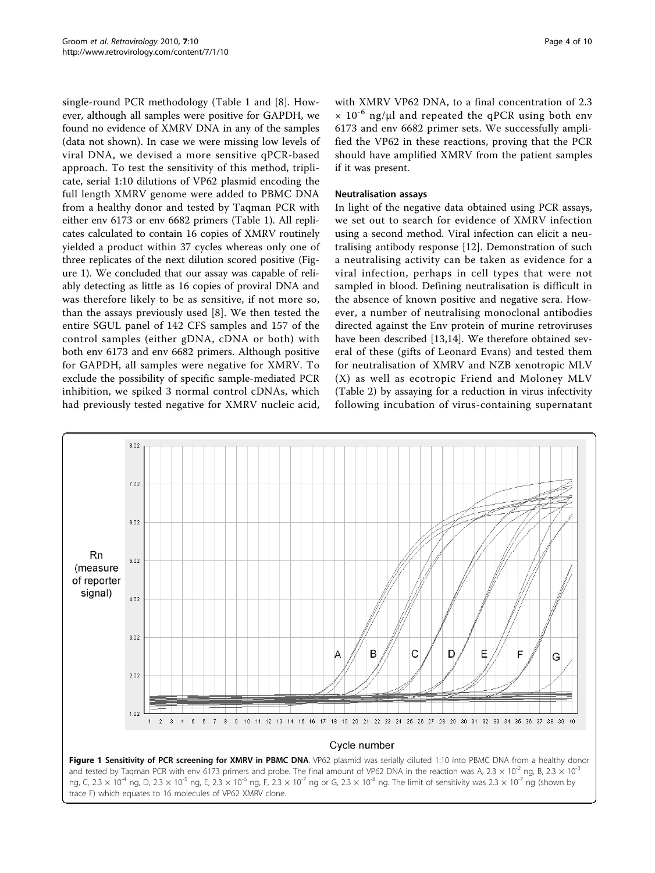<span id="page-3-0"></span>single-round PCR methodology (Table [1](#page-1-0) and [\[8](#page-9-0)]. However, although all samples were positive for GAPDH, we found no evidence of XMRV DNA in any of the samples (data not shown). In case we were missing low levels of viral DNA, we devised a more sensitive qPCR-based approach. To test the sensitivity of this method, triplicate, serial 1:10 dilutions of VP62 plasmid encoding the full length XMRV genome were added to PBMC DNA from a healthy donor and tested by Taqman PCR with either env 6173 or env 6682 primers (Table [1\)](#page-1-0). All replicates calculated to contain 16 copies of XMRV routinely yielded a product within 37 cycles whereas only one of three replicates of the next dilution scored positive (Figure 1). We concluded that our assay was capable of reliably detecting as little as 16 copies of proviral DNA and was therefore likely to be as sensitive, if not more so, than the assays previously used [\[8](#page-9-0)]. We then tested the entire SGUL panel of 142 CFS samples and 157 of the control samples (either gDNA, cDNA or both) with both env 6173 and env 6682 primers. Although positive for GAPDH, all samples were negative for XMRV. To exclude the possibility of specific sample-mediated PCR inhibition, we spiked 3 normal control cDNAs, which had previously tested negative for XMRV nucleic acid,

with XMRV VP62 DNA, to a final concentration of 2.3  $\times$  10<sup>-6</sup> ng/µl and repeated the qPCR using both env 6173 and env 6682 primer sets. We successfully amplified the VP62 in these reactions, proving that the PCR should have amplified XMRV from the patient samples if it was present.

#### Neutralisation assays

In light of the negative data obtained using PCR assays, we set out to search for evidence of XMRV infection using a second method. Viral infection can elicit a neutralising antibody response [[12\]](#page-9-0). Demonstration of such a neutralising activity can be taken as evidence for a viral infection, perhaps in cell types that were not sampled in blood. Defining neutralisation is difficult in the absence of known positive and negative sera. However, a number of neutralising monoclonal antibodies directed against the Env protein of murine retroviruses have been described [[13,14\]](#page-9-0). We therefore obtained several of these (gifts of Leonard Evans) and tested them for neutralisation of XMRV and NZB xenotropic MLV (X) as well as ecotropic Friend and Moloney MLV (Table [2\)](#page-2-0) by assaying for a reduction in virus infectivity following incubation of virus-containing supernatant



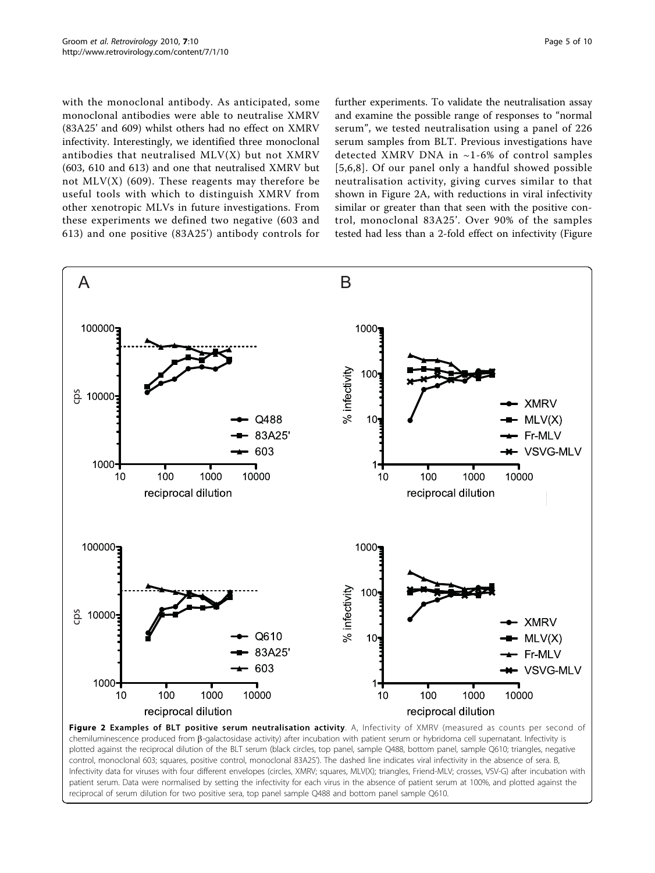<span id="page-4-0"></span>with the monoclonal antibody. As anticipated, some monoclonal antibodies were able to neutralise XMRV (83A25' and 609) whilst others had no effect on XMRV infectivity. Interestingly, we identified three monoclonal antibodies that neutralised MLV(X) but not XMRV (603, 610 and 613) and one that neutralised XMRV but not  $MLV(X)$  (609). These reagents may therefore be useful tools with which to distinguish XMRV from other xenotropic MLVs in future investigations. From these experiments we defined two negative (603 and 613) and one positive (83A25') antibody controls for further experiments. To validate the neutralisation assay and examine the possible range of responses to "normal serum", we tested neutralisation using a panel of 226 serum samples from BLT. Previous investigations have detected XMRV DNA in ~1-6% of control samples [[5](#page-9-0),[6](#page-9-0),[8\]](#page-9-0). Of our panel only a handful showed possible neutralisation activity, giving curves similar to that shown in Figure 2A, with reductions in viral infectivity similar or greater than that seen with the positive control, monoclonal 83A25'. Over 90% of the samples tested had less than a 2-fold effect on infectivity (Figure



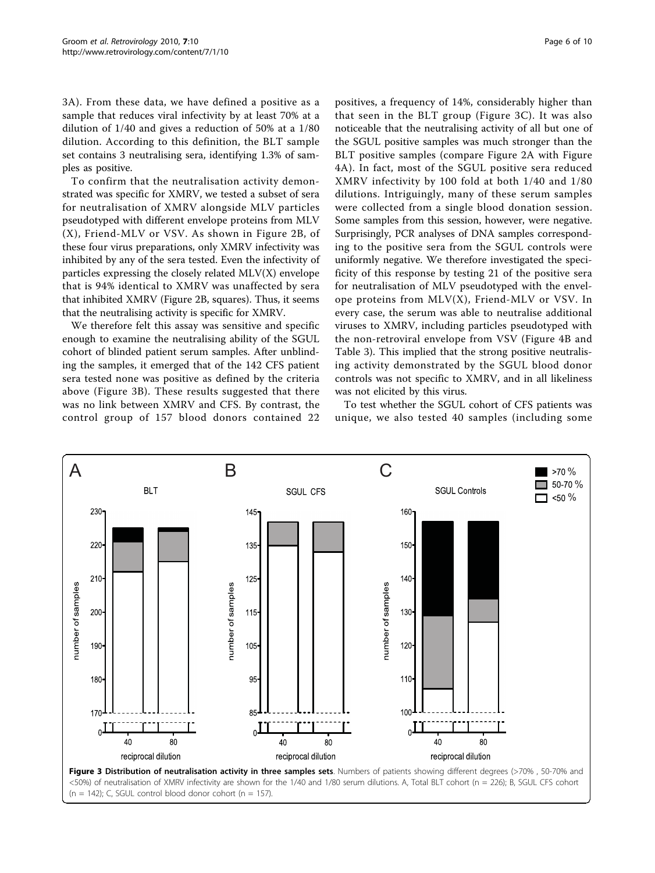<span id="page-5-0"></span>3A). From these data, we have defined a positive as a sample that reduces viral infectivity by at least 70% at a dilution of 1/40 and gives a reduction of 50% at a 1/80 dilution. According to this definition, the BLT sample set contains 3 neutralising sera, identifying 1.3% of samples as positive.

To confirm that the neutralisation activity demonstrated was specific for XMRV, we tested a subset of sera for neutralisation of XMRV alongside MLV particles pseudotyped with different envelope proteins from MLV (X), Friend-MLV or VSV. As shown in Figure [2B](#page-4-0), of these four virus preparations, only XMRV infectivity was inhibited by any of the sera tested. Even the infectivity of particles expressing the closely related MLV(X) envelope that is 94% identical to XMRV was unaffected by sera that inhibited XMRV (Figure [2B](#page-4-0), squares). Thus, it seems that the neutralising activity is specific for XMRV.

We therefore felt this assay was sensitive and specific enough to examine the neutralising ability of the SGUL cohort of blinded patient serum samples. After unblinding the samples, it emerged that of the 142 CFS patient sera tested none was positive as defined by the criteria above (Figure 3B). These results suggested that there was no link between XMRV and CFS. By contrast, the control group of 157 blood donors contained 22

positives, a frequency of 14%, considerably higher than that seen in the BLT group (Figure 3C). It was also noticeable that the neutralising activity of all but one of the SGUL positive samples was much stronger than the BLT positive samples (compare Figure [2A](#page-4-0) with Figure [4A](#page-6-0)). In fact, most of the SGUL positive sera reduced XMRV infectivity by 100 fold at both 1/40 and 1/80 dilutions. Intriguingly, many of these serum samples were collected from a single blood donation session. Some samples from this session, however, were negative. Surprisingly, PCR analyses of DNA samples corresponding to the positive sera from the SGUL controls were uniformly negative. We therefore investigated the specificity of this response by testing 21 of the positive sera for neutralisation of MLV pseudotyped with the envelope proteins from MLV(X), Friend-MLV or VSV. In every case, the serum was able to neutralise additional viruses to XMRV, including particles pseudotyped with

the non-retroviral envelope from VSV (Figure [4B](#page-6-0) and Table [3\)](#page-7-0). This implied that the strong positive neutralising activity demonstrated by the SGUL blood donor controls was not specific to XMRV, and in all likeliness was not elicited by this virus.

To test whether the SGUL cohort of CFS patients was unique, we also tested 40 samples (including some

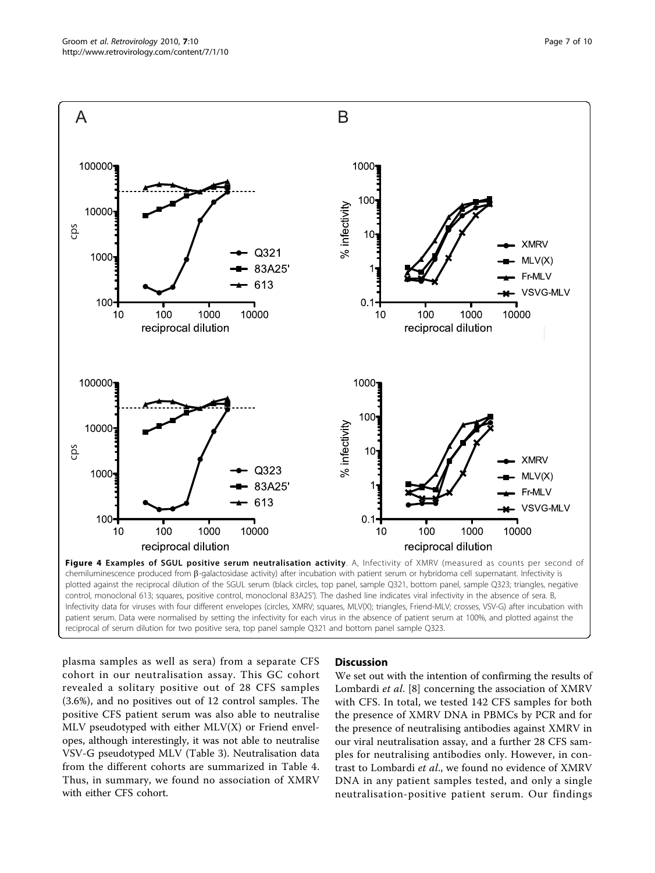<span id="page-6-0"></span>

plotted against the reciprocal dilution of the SGUL serum (black circles, top panel, sample Q321, bottom panel, sample Q323; triangles, negative control, monoclonal 613; squares, positive control, monoclonal 83A25'). The dashed line indicates viral infectivity in the absence of sera. B, Infectivity data for viruses with four different envelopes (circles, XMRV; squares, MLV(X); triangles, Friend-MLV; crosses, VSV-G) after incubation with patient serum. Data were normalised by setting the infectivity for each virus in the absence of patient serum at 100%, and plotted against the reciprocal of serum dilution for two positive sera, top panel sample Q321 and bottom panel sample Q323.

plasma samples as well as sera) from a separate CFS cohort in our neutralisation assay. This GC cohort revealed a solitary positive out of 28 CFS samples (3.6%), and no positives out of 12 control samples. The positive CFS patient serum was also able to neutralise MLV pseudotyped with either  $MLV(X)$  or Friend envelopes, although interestingly, it was not able to neutralise VSV-G pseudotyped MLV (Table [3](#page-7-0)). Neutralisation data from the different cohorts are summarized in Table [4](#page-8-0). Thus, in summary, we found no association of XMRV with either CFS cohort.

#### **Discussion**

We set out with the intention of confirming the results of Lombardi et al. [[8\]](#page-9-0) concerning the association of XMRV with CFS. In total, we tested 142 CFS samples for both the presence of XMRV DNA in PBMCs by PCR and for the presence of neutralising antibodies against XMRV in our viral neutralisation assay, and a further 28 CFS samples for neutralising antibodies only. However, in contrast to Lombardi et al., we found no evidence of XMRV DNA in any patient samples tested, and only a single neutralisation-positive patient serum. Our findings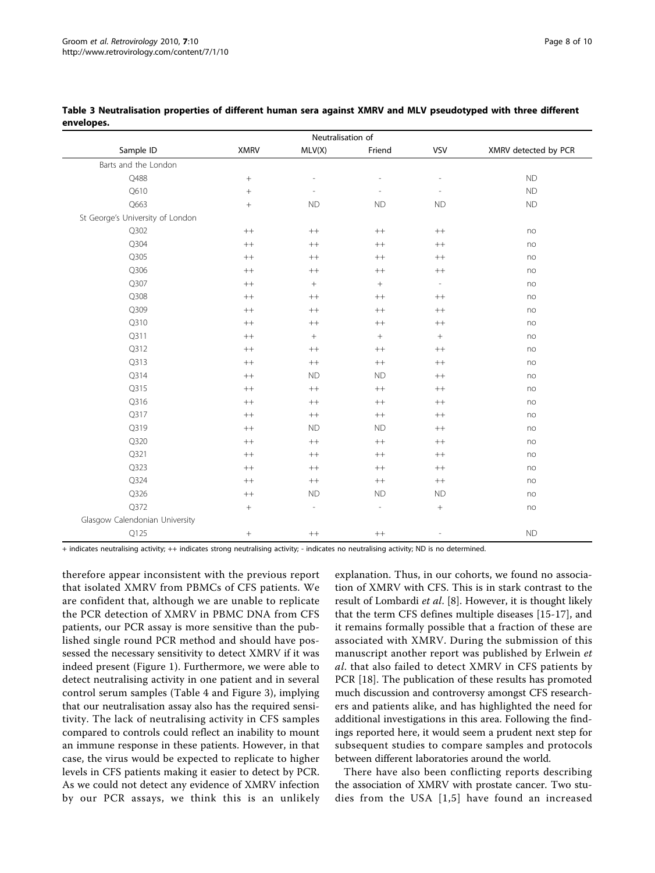| Neutralisation of                |                 |                          |                  |                          |                      |  |
|----------------------------------|-----------------|--------------------------|------------------|--------------------------|----------------------|--|
| Sample ID                        | <b>XMRV</b>     | MLV(X)                   | Friend           | <b>VSV</b>               | XMRV detected by PCR |  |
| Barts and the London             |                 |                          |                  |                          |                      |  |
| Q488                             | $\! + \!$       | $\overline{\phantom{a}}$ |                  | $\overline{a}$           | <b>ND</b>            |  |
| Q610                             | $^{+}$          |                          |                  | $\overline{\phantom{a}}$ | <b>ND</b>            |  |
| Q663                             | $\! + \!\!\!\!$ | <b>ND</b>                | <b>ND</b>        | ND                       | <b>ND</b>            |  |
| St George's University of London |                 |                          |                  |                          |                      |  |
| Q302                             | $++$            | $++$                     | $++$             | $^{++}$                  | no                   |  |
| Q304                             | $^{++}$         | $^{++}\,$                | $^{++}$          | $^{++}\,$                | no                   |  |
| Q305                             | $++$            | $^{++}$                  | $++$             | $^{++}\,$                | no                   |  |
| Q306                             | $^{++}\,$       | $^{++}\,$                | $++$             | $^{++}\,$                | no                   |  |
| Q307                             | $^{++}$         | $\boldsymbol{+}$         | $\! +$           | $\overline{\phantom{a}}$ | no                   |  |
| Q308                             | $^{++}$         | $^{++}$                  | $++$             | $^{++}$                  | no                   |  |
| Q309                             | $++$            | $^{++}$                  | $++$             | $^{++}$                  | no                   |  |
| Q310                             | $^{++}$         | $^{++}\,$                | $^{++}$          | $^{++}\,$                | no                   |  |
| Q311                             | $^{++}\,$       | $\! +$                   | $\boldsymbol{+}$ | $\boldsymbol{+}$         | no                   |  |
| Q312                             | $^{++}\,$       | $^{++}\,$                | $^{++}$          | $^{++}\,$                | no                   |  |
| Q313                             | $^{++}$         | $^{++}\,$                | $^{++}$          | $^{++}\,$                | no                   |  |
| Q314                             | $++$            | <b>ND</b>                | <b>ND</b>        | $^{++}$                  | no                   |  |
| Q315                             | $++$            | $^{++}$                  | $++$             | $^{++}$                  | no                   |  |
| Q316                             | $^{++}$         | $^{\rm ++}$              | $^{++}$          | $^{++}\,$                | no                   |  |
| Q317                             | $^{++}$         | $^{++}\,$                | $^{++}$          | $^{++}\,$                | no                   |  |
| Q319                             | $^{++}$         | <b>ND</b>                | <b>ND</b>        | $^{++}\,$                | no                   |  |
| Q320                             | $^{++}$         | $^{++}\,$                | $++$             | $^{++}\,$                | no                   |  |
| Q321                             | $^{++}$         | $^{++}\,$                | $++$             | $++$                     | no                   |  |
| Q323                             | $^{++}$         | $^{++}\,$                | $++$             | $^{++}\,$                | no                   |  |
| Q324                             | $++$            | $^{++}$                  | $++$             | $^{++}$                  | no                   |  |
| Q326                             | $++$            | <b>ND</b>                | <b>ND</b>        | <b>ND</b>                | no                   |  |
| Q372                             | $\! + \!\!\!\!$ | $\frac{1}{2}$            | $\overline{a}$   | $\! + \!\!\!\!$          | no                   |  |
| Glasgow Calendonian University   |                 |                          |                  |                          |                      |  |
| Q125                             | $^{+}$          | $^{\rm ++}$              | $++$             | $\overline{a}$           | <b>ND</b>            |  |

#### <span id="page-7-0"></span>Table 3 Neutralisation properties of different human sera against XMRV and MLV pseudotyped with three different envelopes.

+ indicates neutralising activity; ++ indicates strong neutralising activity; - indicates no neutralising activity; ND is no determined.

therefore appear inconsistent with the previous report that isolated XMRV from PBMCs of CFS patients. We are confident that, although we are unable to replicate the PCR detection of XMRV in PBMC DNA from CFS patients, our PCR assay is more sensitive than the published single round PCR method and should have possessed the necessary sensitivity to detect XMRV if it was indeed present (Figure [1\)](#page-3-0). Furthermore, we were able to detect neutralising activity in one patient and in several control serum samples (Table [4](#page-8-0) and Figure [3\)](#page-5-0), implying that our neutralisation assay also has the required sensitivity. The lack of neutralising activity in CFS samples compared to controls could reflect an inability to mount an immune response in these patients. However, in that case, the virus would be expected to replicate to higher levels in CFS patients making it easier to detect by PCR. As we could not detect any evidence of XMRV infection by our PCR assays, we think this is an unlikely

explanation. Thus, in our cohorts, we found no association of XMRV with CFS. This is in stark contrast to the result of Lombardi et al. [[8\]](#page-9-0). However, it is thought likely that the term CFS defines multiple diseases [\[15](#page-9-0)-[17\]](#page-9-0), and it remains formally possible that a fraction of these are associated with XMRV. During the submission of this manuscript another report was published by Erlwein et al. that also failed to detect XMRV in CFS patients by PCR [\[18](#page-9-0)]. The publication of these results has promoted much discussion and controversy amongst CFS researchers and patients alike, and has highlighted the need for additional investigations in this area. Following the findings reported here, it would seem a prudent next step for subsequent studies to compare samples and protocols between different laboratories around the world.

There have also been conflicting reports describing the association of XMRV with prostate cancer. Two studies from the USA [[1,5\]](#page-9-0) have found an increased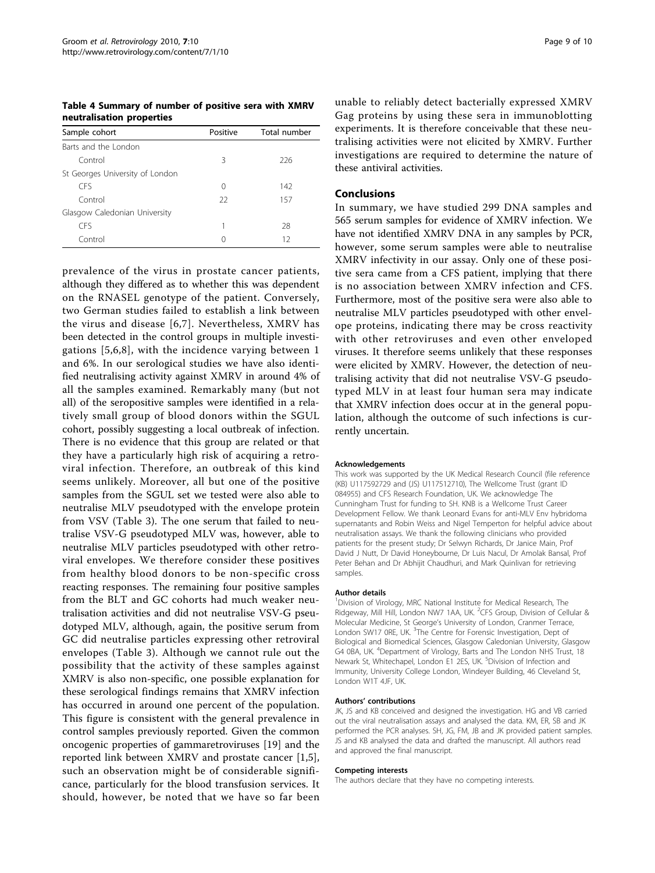<span id="page-8-0"></span>Table 4 Summary of number of positive sera with XMRV neutralisation properties

| Sample cohort                   | Positive | Total number |  |
|---------------------------------|----------|--------------|--|
| Barts and the London            |          |              |  |
| Control                         | 3        | 226          |  |
| St Georges University of London |          |              |  |
| CES                             | 0        | 142          |  |
| Control                         | 22       | 157          |  |
| Glasgow Caledonian University   |          |              |  |
| <b>CFS</b>                      |          | 28           |  |
| Control                         | 0        | 12           |  |

prevalence of the virus in prostate cancer patients, although they differed as to whether this was dependent on the RNASEL genotype of the patient. Conversely, two German studies failed to establish a link between the virus and disease [[6,7\]](#page-9-0). Nevertheless, XMRV has been detected in the control groups in multiple investigations [[5](#page-9-0),[6,8\]](#page-9-0), with the incidence varying between 1 and 6%. In our serological studies we have also identified neutralising activity against XMRV in around 4% of all the samples examined. Remarkably many (but not all) of the seropositive samples were identified in a relatively small group of blood donors within the SGUL cohort, possibly suggesting a local outbreak of infection. There is no evidence that this group are related or that they have a particularly high risk of acquiring a retroviral infection. Therefore, an outbreak of this kind seems unlikely. Moreover, all but one of the positive samples from the SGUL set we tested were also able to neutralise MLV pseudotyped with the envelope protein from VSV (Table [3](#page-7-0)). The one serum that failed to neutralise VSV-G pseudotyped MLV was, however, able to neutralise MLV particles pseudotyped with other retroviral envelopes. We therefore consider these positives from healthy blood donors to be non-specific cross reacting responses. The remaining four positive samples from the BLT and GC cohorts had much weaker neutralisation activities and did not neutralise VSV-G pseudotyped MLV, although, again, the positive serum from GC did neutralise particles expressing other retroviral envelopes (Table [3](#page-7-0)). Although we cannot rule out the possibility that the activity of these samples against XMRV is also non-specific, one possible explanation for these serological findings remains that XMRV infection has occurred in around one percent of the population. This figure is consistent with the general prevalence in control samples previously reported. Given the common oncogenic properties of gammaretroviruses [[19\]](#page-9-0) and the reported link between XMRV and prostate cancer [[1,5](#page-9-0)], such an observation might be of considerable significance, particularly for the blood transfusion services. It should, however, be noted that we have so far been

unable to reliably detect bacterially expressed XMRV Gag proteins by using these sera in immunoblotting experiments. It is therefore conceivable that these neutralising activities were not elicited by XMRV. Further investigations are required to determine the nature of these antiviral activities.

#### Conclusions

In summary, we have studied 299 DNA samples and 565 serum samples for evidence of XMRV infection. We have not identified XMRV DNA in any samples by PCR, however, some serum samples were able to neutralise XMRV infectivity in our assay. Only one of these positive sera came from a CFS patient, implying that there is no association between XMRV infection and CFS. Furthermore, most of the positive sera were also able to neutralise MLV particles pseudotyped with other envelope proteins, indicating there may be cross reactivity with other retroviruses and even other enveloped viruses. It therefore seems unlikely that these responses were elicited by XMRV. However, the detection of neutralising activity that did not neutralise VSV-G pseudotyped MLV in at least four human sera may indicate that XMRV infection does occur at in the general population, although the outcome of such infections is currently uncertain.

#### Acknowledgements

This work was supported by the UK Medical Research Council (file reference (KB) U117592729 and (JS) U117512710), The Wellcome Trust (grant ID 084955) and CFS Research Foundation, UK. We acknowledge The Cunningham Trust for funding to SH. KNB is a Wellcome Trust Career Development Fellow. We thank Leonard Evans for anti-MLV Env hybridoma supernatants and Robin Weiss and Nigel Temperton for helpful advice about neutralisation assays. We thank the following clinicians who provided patients for the present study; Dr Selwyn Richards, Dr Janice Main, Prof David J Nutt, Dr David Honeybourne, Dr Luis Nacul, Dr Amolak Bansal, Prof Peter Behan and Dr Abhijit Chaudhuri, and Mark Quinlivan for retrieving samples.

#### Author details

<sup>1</sup> Division of Virology, MRC National Institute for Medical Research, The Ridgeway, Mill Hill, London NW7 1AA, UK. <sup>2</sup>CFS Group, Division of Cellular & Molecular Medicine, St George's University of London, Cranmer Terrace, London SW17 0RE, UK.<sup>3</sup> The Centre for Forensic Investigation, Dept of Biological and Biomedical Sciences, Glasgow Caledonian University, Glasgow G4 0BA, UK. <sup>4</sup>Department of Virology, Barts and The London NHS Trust, 18 Newark St, Whitechapel, London E1 2ES, UK. <sup>5</sup>Division of Infection and Immunity, University College London, Windeyer Building, 46 Cleveland St, London W1T 4JF, UK.

#### Authors' contributions

JK, JS and KB conceived and designed the investigation. HG and VB carried out the viral neutralisation assays and analysed the data. KM, ER, SB and JK performed the PCR analyses. SH, JG, FM, JB and JK provided patient samples. JS and KB analysed the data and drafted the manuscript. All authors read and approved the final manuscript.

#### Competing interests

The authors declare that they have no competing interests.